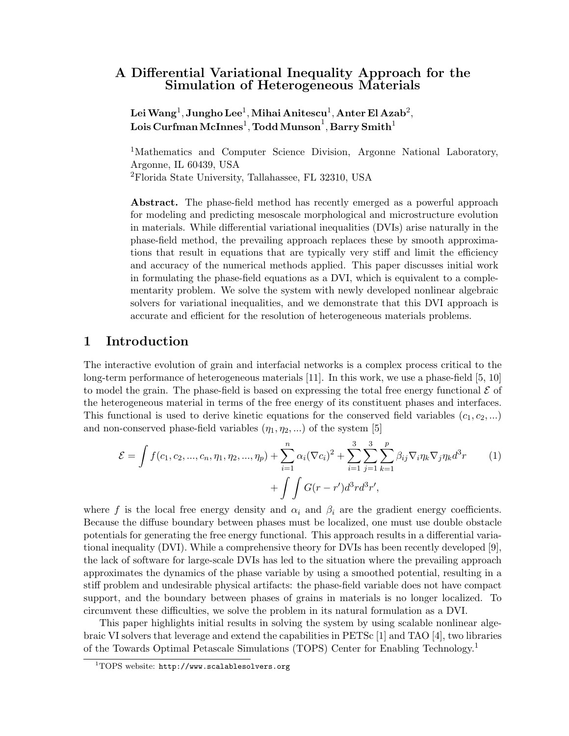# A Differential Variational Inequality Approach for the Simulation of Heterogeneous Materials

 ${\bf LeiWang^1, Jungho Lee^1, Mihai Anitescu^1, Anter El Azab^2, }$  ${\rm Lois}\, {\rm Curfman}\, {\rm McInnes}^1, {\rm Todd}\, {\rm Munson}^1, {\rm Barry}\, {\rm Smith}^1$ 

<sup>1</sup>Mathematics and Computer Science Division, Argonne National Laboratory, Argonne, IL 60439, USA <sup>2</sup>Florida State University, Tallahassee, FL 32310, USA

Abstract. The phase-field method has recently emerged as a powerful approach for modeling and predicting mesoscale morphological and microstructure evolution in materials. While differential variational inequalities (DVIs) arise naturally in the phase-field method, the prevailing approach replaces these by smooth approximations that result in equations that are typically very stiff and limit the efficiency and accuracy of the numerical methods applied. This paper discusses initial work in formulating the phase-field equations as a DVI, which is equivalent to a complementarity problem. We solve the system with newly developed nonlinear algebraic solvers for variational inequalities, and we demonstrate that this DVI approach is accurate and efficient for the resolution of heterogeneous materials problems.

## 1 Introduction

The interactive evolution of grain and interfacial networks is a complex process critical to the long-term performance of heterogeneous materials [11]. In this work, we use a phase-field [5, 10] to model the grain. The phase-field is based on expressing the total free energy functional  $\mathcal E$  of the heterogeneous material in terms of the free energy of its constituent phases and interfaces. This functional is used to derive kinetic equations for the conserved field variables  $(c_1, c_2, \ldots)$ and non-conserved phase-field variables  $(\eta_1, \eta_2, ...)$  of the system [5]

$$
\mathcal{E} = \int f(c_1, c_2, ..., c_n, \eta_1, \eta_2, ..., \eta_p) + \sum_{i=1}^n \alpha_i (\nabla c_i)^2 + \sum_{i=1}^3 \sum_{j=1}^3 \sum_{k=1}^p \beta_{ij} \nabla_i \eta_k \nabla_j \eta_k d^3 r
$$
(1)  
+ 
$$
\int \int G(r - r') d^3 r d^3 r',
$$

where f is the local free energy density and  $\alpha_i$  and  $\beta_i$  are the gradient energy coefficients. Because the diffuse boundary between phases must be localized, one must use double obstacle potentials for generating the free energy functional. This approach results in a differential variational inequality (DVI). While a comprehensive theory for DVIs has been recently developed [9], the lack of software for large-scale DVIs has led to the situation where the prevailing approach approximates the dynamics of the phase variable by using a smoothed potential, resulting in a stiff problem and undesirable physical artifacts: the phase-field variable does not have compact support, and the boundary between phases of grains in materials is no longer localized. To circumvent these difficulties, we solve the problem in its natural formulation as a DVI.

This paper highlights initial results in solving the system by using scalable nonlinear algebraic VI solvers that leverage and extend the capabilities in PETSc [1] and TAO [4], two libraries of the Towards Optimal Petascale Simulations (TOPS) Center for Enabling Technology.<sup>1</sup>

 $1$ TOPS website: http://www.scalablesolvers.org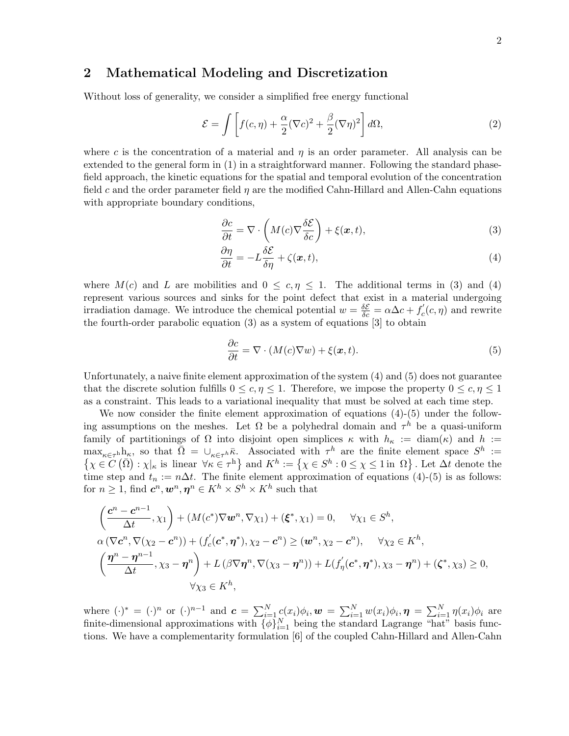## 2 Mathematical Modeling and Discretization

Without loss of generality, we consider a simplified free energy functional

$$
\mathcal{E} = \int \left[ f(c, \eta) + \frac{\alpha}{2} (\nabla c)^2 + \frac{\beta}{2} (\nabla \eta)^2 \right] d\Omega, \tag{2}
$$

where c is the concentration of a material and  $\eta$  is an order parameter. All analysis can be extended to the general form in (1) in a straightforward manner. Following the standard phasefield approach, the kinetic equations for the spatial and temporal evolution of the concentration field c and the order parameter field  $\eta$  are the modified Cahn-Hillard and Allen-Cahn equations with appropriate boundary conditions,

$$
\frac{\partial c}{\partial t} = \nabla \cdot \left( M(c) \nabla \frac{\delta \mathcal{E}}{\delta c} \right) + \xi(\mathbf{x}, t), \tag{3}
$$

$$
\frac{\partial \eta}{\partial t} = -L \frac{\delta \mathcal{E}}{\delta \eta} + \zeta(\mathbf{x}, t),\tag{4}
$$

where  $M(c)$  and L are mobilities and  $0 \leq c, \eta \leq 1$ . The additional terms in (3) and (4) represent various sources and sinks for the point defect that exist in a material undergoing irradiation damage. We introduce the chemical potential  $w = \frac{\delta \mathcal{E}}{\delta c} = \alpha \Delta c + f'_c(c, \eta)$  and rewrite the fourth-order parabolic equation (3) as a system of equations [3] to obtain

$$
\frac{\partial c}{\partial t} = \nabla \cdot (M(c)\nabla w) + \xi(x, t). \tag{5}
$$

Unfortunately, a naive finite element approximation of the system (4) and (5) does not guarantee that the discrete solution fulfills  $0 \leq c, \eta \leq 1$ . Therefore, we impose the property  $0 \leq c, \eta \leq 1$ as a constraint. This leads to a variational inequality that must be solved at each time step.

We now consider the finite element approximation of equations  $(4)-(5)$  under the following assumptions on the meshes. Let  $\Omega$  be a polyhedral domain and  $\tau^h$  be a quasi-uniform family of partitionings of  $\Omega$  into disjoint open simplices  $\kappa$  with  $h_{\kappa} := \text{diam}(\kappa)$  and  $h :=$  $\max_{\kappa \in \tau^h} h_{\kappa}$ , so that  $\bar{\Omega} = \cup_{\kappa \in \tau^h} \bar{\kappa}$ . Associated with  $\tau^h$  are the finite element space  $S^h :=$  $\{\chi \in C\left(\bar{\Omega}\right) : \chi|_{\kappa} \text{ is linear } \forall \kappa \in \tau^{\text{h}}\}\$ and  $K^h := \{\chi \in S^h : 0 \leq \chi \leq 1 \text{ in } \Omega\}$ . Let  $\Delta t$  denote the time step and  $t_n := n\Delta t$ . The finite element approximation of equations (4)-(5) is as follows: for  $n \geq 1$ , find  $c^n, w^n, \eta^n \in K^h \times S^h \times K^h$  such that

$$
\left(\frac{\mathbf{c}^n - \mathbf{c}^{n-1}}{\Delta t}, \chi_1\right) + \left(M(\mathbf{c}^*)\nabla \mathbf{w}^n, \nabla \chi_1\right) + \left(\xi^*, \chi_1\right) = 0, \quad \forall \chi_1 \in S^h,
$$
\n
$$
\alpha\left(\nabla \mathbf{c}^n, \nabla(\chi_2 - \mathbf{c}^n)\right) + \left(f_c'(\mathbf{c}^*, \boldsymbol{\eta}^*), \chi_2 - \mathbf{c}^n\right) \ge (\mathbf{w}^n, \chi_2 - \mathbf{c}^n), \quad \forall \chi_2 \in K^h,
$$
\n
$$
\left(\frac{\boldsymbol{\eta}^n - \boldsymbol{\eta}^{n-1}}{\Delta t}, \chi_3 - \boldsymbol{\eta}^n\right) + L\left(\beta \nabla \boldsymbol{\eta}^n, \nabla(\chi_3 - \boldsymbol{\eta}^n)\right) + L\left(f_\eta'(\mathbf{c}^*, \boldsymbol{\eta}^*), \chi_3 - \boldsymbol{\eta}^n\right) + \left(\zeta^*, \chi_3\right) \ge 0,
$$
\n
$$
\forall \chi_3 \in K^h,
$$

where  $(\cdot)^* = (\cdot)^n$  or  $(\cdot)^{n-1}$  and  $\mathbf{c} = \sum_{i=1}^N c(x_i) \phi_i, \mathbf{w} = \sum_{i=1}^N w(x_i) \phi_i, \mathbf{\eta} = \sum_{i=1}^N \eta(x_i) \phi_i$  are finite-dimensional approximations with  $\{\phi\}_{i=1}^N$  being the standard Lagrange "hat" basis functions. We have a complementarity formulation [6] of the coupled Cahn-Hillard and Allen-Cahn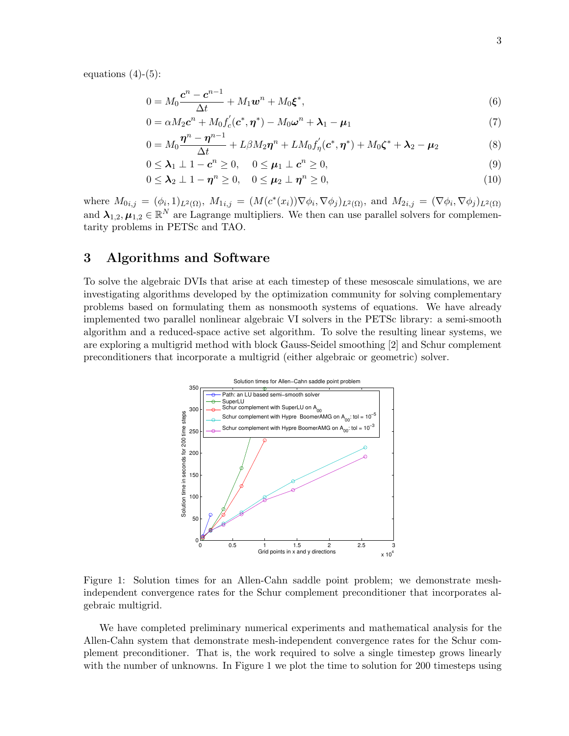equations  $(4)-(5)$ :

$$
0 = M_0 \frac{\mathbf{c}^n - \mathbf{c}^{n-1}}{\Delta t} + M_1 \mathbf{w}^n + M_0 \mathbf{\xi}^*,
$$
\n<sup>(6)</sup>

$$
0 = \alpha M_2 \mathbf{c}^n + M_0 f_c'(\mathbf{c}^*, \boldsymbol{\eta}^*) - M_0 \boldsymbol{\omega}^n + \boldsymbol{\lambda}_1 - \boldsymbol{\mu}_1
$$
\n
$$
\mathbf{n}^n - \mathbf{n}^{n-1}
$$
\n(7)

$$
0 = M_0 \frac{\boldsymbol{\eta}^n - \boldsymbol{\eta}^{n-1}}{\Delta t} + L\beta M_2 \boldsymbol{\eta}^n + L M_0 f'_\eta(\boldsymbol{c}^*, \boldsymbol{\eta}^*) + M_0 \boldsymbol{\zeta}^* + \boldsymbol{\lambda}_2 - \boldsymbol{\mu}_2 \tag{8}
$$

$$
0 \leq \lambda_1 \perp 1 - c^n \geq 0, \quad 0 \leq \mu_1 \perp c^n \geq 0,
$$
\n<sup>(9)</sup>

$$
0 \leq \lambda_2 \perp 1 - \eta^n \geq 0, \quad 0 \leq \mu_2 \perp \eta^n \geq 0,
$$
\n
$$
(10)
$$

where  $M_{0i,j} = (\phi_i, 1)_{L^2(\Omega)}, M_{1i,j} = (M(c^*(x_i))\nabla \phi_i, \nabla \phi_j)_{L^2(\Omega)}, \text{ and } M_{2i,j} = (\nabla \phi_i, \nabla \phi_j)_{L^2(\Omega)}$ and  $\lambda_{1,2}, \mu_{1,2} \in \mathbb{R}^N$  are Lagrange multipliers. We then can use parallel solvers for complementarity problems in PETSc and TAO.

## 3 Algorithms and Software

To solve the algebraic DVIs that arise at each timestep of these mesoscale simulations, we are investigating algorithms developed by the optimization community for solving complementary problems based on formulating them as nonsmooth systems of equations. We have already implemented two parallel nonlinear algebraic VI solvers in the PETSc library: a semi-smooth algorithm and a reduced-space active set algorithm. To solve the resulting linear systems, we are exploring a multigrid method with block Gauss-Seidel smoothing [2] and Schur complement preconditioners that incorporate a multigrid (either algebraic or geometric) solver.



Figure 1: Solution times for an Allen-Cahn saddle point problem; we demonstrate meshindependent convergence rates for the Schur complement preconditioner that incorporates algebraic multigrid.

We have completed preliminary numerical experiments and mathematical analysis for the Allen-Cahn system that demonstrate mesh-independent convergence rates for the Schur complement preconditioner. That is, the work required to solve a single timestep grows linearly with the number of unknowns. In Figure 1 we plot the time to solution for 200 timesteps using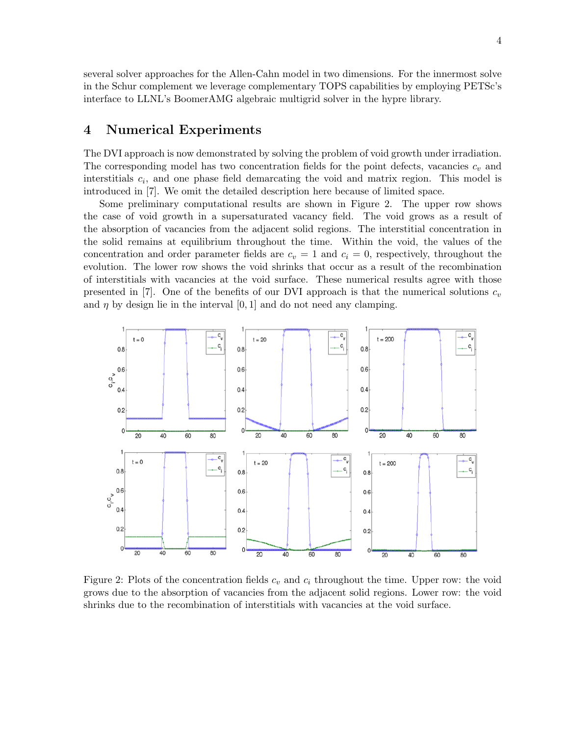several solver approaches for the Allen-Cahn model in two dimensions. For the innermost solve in the Schur complement we leverage complementary TOPS capabilities by employing PETSc's interface to LLNL's BoomerAMG algebraic multigrid solver in the hypre library.

### 4 Numerical Experiments

The DVI approach is now demonstrated by solving the problem of void growth under irradiation. The corresponding model has two concentration fields for the point defects, vacancies  $c_v$  and interstitials  $c_i$ , and one phase field demarcating the void and matrix region. This model is introduced in [7]. We omit the detailed description here because of limited space.

Some preliminary computational results are shown in Figure 2. The upper row shows the case of void growth in a supersaturated vacancy field. The void grows as a result of the absorption of vacancies from the adjacent solid regions. The interstitial concentration in the solid remains at equilibrium throughout the time. Within the void, the values of the concentration and order parameter fields are  $c_v = 1$  and  $c_i = 0$ , respectively, throughout the evolution. The lower row shows the void shrinks that occur as a result of the recombination of interstitials with vacancies at the void surface. These numerical results agree with those presented in [7]. One of the benefits of our DVI approach is that the numerical solutions  $c_v$ and  $\eta$  by design lie in the interval [0, 1] and do not need any clamping.



Figure 2: Plots of the concentration fields  $c_v$  and  $c_i$  throughout the time. Upper row: the void grows due to the absorption of vacancies from the adjacent solid regions. Lower row: the void shrinks due to the recombination of interstitials with vacancies at the void surface.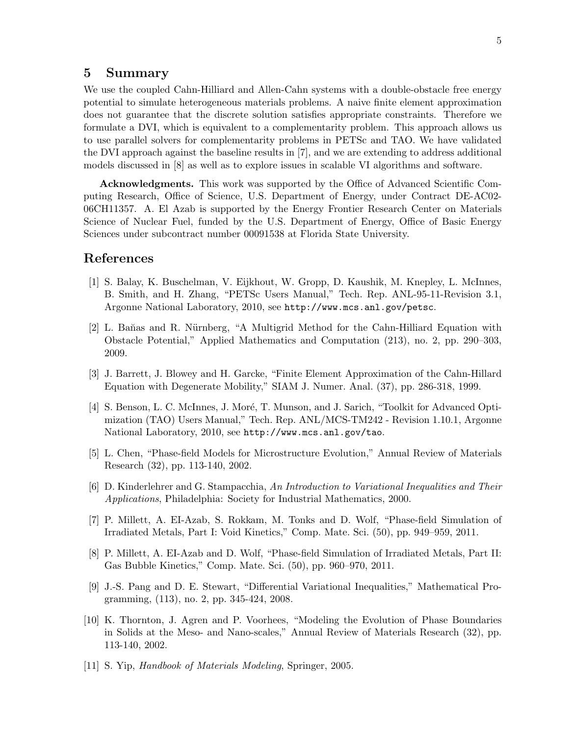#### 5 Summary

We use the coupled Cahn-Hilliard and Allen-Cahn systems with a double-obstacle free energy potential to simulate heterogeneous materials problems. A naive finite element approximation does not guarantee that the discrete solution satisfies appropriate constraints. Therefore we formulate a DVI, which is equivalent to a complementarity problem. This approach allows us to use parallel solvers for complementarity problems in PETSc and TAO. We have validated the DVI approach against the baseline results in [7], and we are extending to address additional models discussed in [8] as well as to explore issues in scalable VI algorithms and software.

Acknowledgments. This work was supported by the Office of Advanced Scientific Computing Research, Office of Science, U.S. Department of Energy, under Contract DE-AC02- 06CH11357. A. El Azab is supported by the Energy Frontier Research Center on Materials Science of Nuclear Fuel, funded by the U.S. Department of Energy, Office of Basic Energy Sciences under subcontract number 00091538 at Florida State University.

#### References

- [1] S. Balay, K. Buschelman, V. Eijkhout, W. Gropp, D. Kaushik, M. Knepley, L. McInnes, B. Smith, and H. Zhang, "PETSc Users Manual," Tech. Rep. ANL-95-11-Revision 3.1, Argonne National Laboratory, 2010, see http://www.mcs.anl.gov/petsc.
- [2] L. Baňas and R. Nürnberg, "A Multigrid Method for the Cahn-Hilliard Equation with Obstacle Potential," Applied Mathematics and Computation (213), no. 2, pp. 290–303, 2009.
- [3] J. Barrett, J. Blowey and H. Garcke, "Finite Element Approximation of the Cahn-Hillard Equation with Degenerate Mobility," SIAM J. Numer. Anal. (37), pp. 286-318, 1999.
- [4] S. Benson, L. C. McInnes, J. Moré, T. Munson, and J. Sarich, "Toolkit for Advanced Optimization (TAO) Users Manual," Tech. Rep. ANL/MCS-TM242 - Revision 1.10.1, Argonne National Laboratory, 2010, see http://www.mcs.anl.gov/tao.
- [5] L. Chen, "Phase-field Models for Microstructure Evolution," Annual Review of Materials Research (32), pp. 113-140, 2002.
- [6] D. Kinderlehrer and G. Stampacchia, An Introduction to Variational Inequalities and Their Applications, Philadelphia: Society for Industrial Mathematics, 2000.
- [7] P. Millett, A. EI-Azab, S. Rokkam, M. Tonks and D. Wolf, "Phase-field Simulation of Irradiated Metals, Part I: Void Kinetics," Comp. Mate. Sci. (50), pp. 949–959, 2011.
- [8] P. Millett, A. EI-Azab and D. Wolf, "Phase-field Simulation of Irradiated Metals, Part II: Gas Bubble Kinetics," Comp. Mate. Sci. (50), pp. 960–970, 2011.
- [9] J.-S. Pang and D. E. Stewart, "Differential Variational Inequalities," Mathematical Programming, (113), no. 2, pp. 345-424, 2008.
- [10] K. Thornton, J. Agren and P. Voorhees, "Modeling the Evolution of Phase Boundaries in Solids at the Meso- and Nano-scales," Annual Review of Materials Research (32), pp. 113-140, 2002.
- [11] S. Yip, Handbook of Materials Modeling, Springer, 2005.